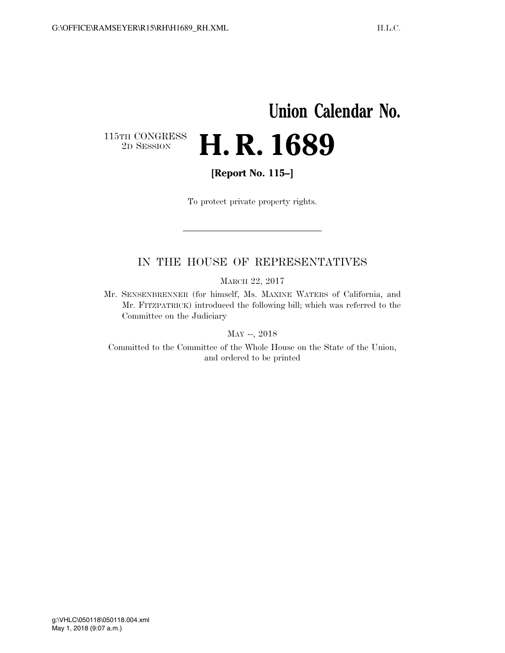# **Union Calendar No.**  115TH CONGRESS<br>2D SESSION 2D SESSION **H. R. 1689**

**[Report No. 115–]** 

To protect private property rights.

### IN THE HOUSE OF REPRESENTATIVES

MARCH 22, 2017

Mr. SENSENBRENNER (for himself, Ms. MAXINE WATERS of California, and Mr. FITZPATRICK) introduced the following bill; which was referred to the Committee on the Judiciary

MAY --, 2018

Committed to the Committee of the Whole House on the State of the Union, and ordered to be printed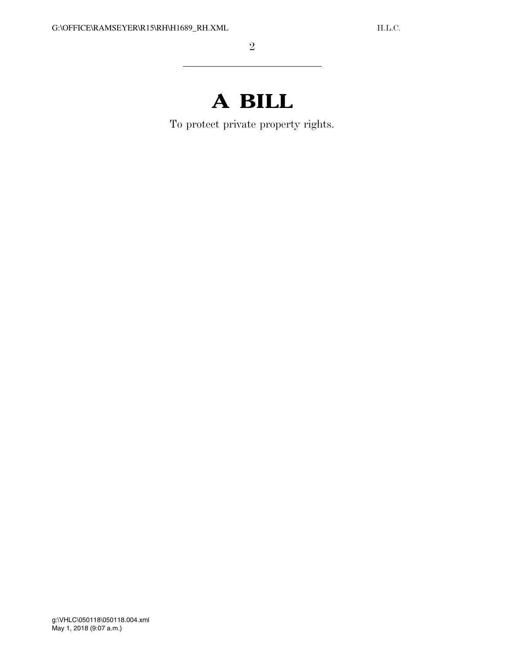# **A BILL**

To protect private property rights.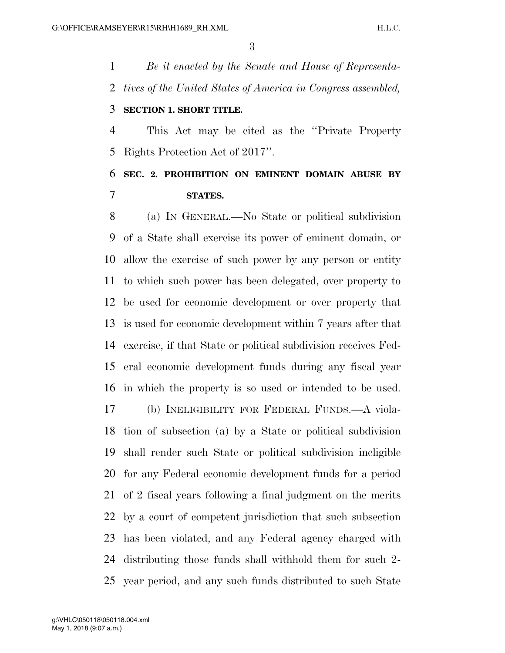*Be it enacted by the Senate and House of Representa- tives of the United States of America in Congress assembled,*  **SECTION 1. SHORT TITLE.** 

 This Act may be cited as the ''Private Property Rights Protection Act of 2017''.

### **SEC. 2. PROHIBITION ON EMINENT DOMAIN ABUSE BY STATES.**

 (a) IN GENERAL.—No State or political subdivision of a State shall exercise its power of eminent domain, or allow the exercise of such power by any person or entity to which such power has been delegated, over property to be used for economic development or over property that is used for economic development within 7 years after that exercise, if that State or political subdivision receives Fed- eral economic development funds during any fiscal year in which the property is so used or intended to be used. (b) INELIGIBILITY FOR FEDERAL FUNDS.—A viola- tion of subsection (a) by a State or political subdivision shall render such State or political subdivision ineligible for any Federal economic development funds for a period of 2 fiscal years following a final judgment on the merits by a court of competent jurisdiction that such subsection has been violated, and any Federal agency charged with distributing those funds shall withhold them for such 2- year period, and any such funds distributed to such State

May 1, 2018 (9:07 a.m.) g:\VHLC\050118\050118.004.xml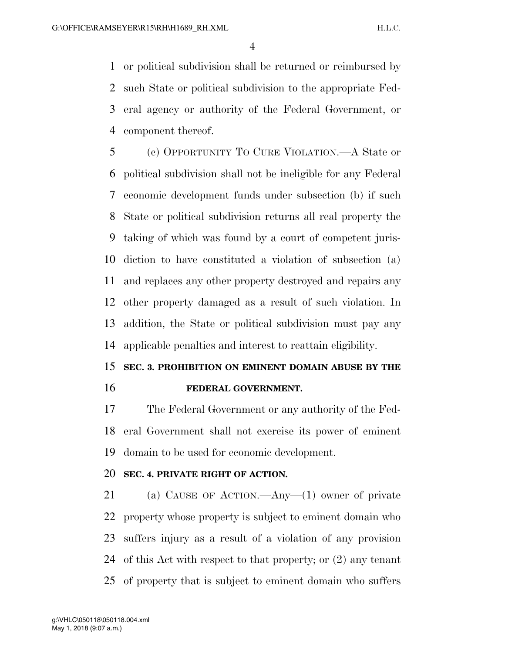or political subdivision shall be returned or reimbursed by such State or political subdivision to the appropriate Fed- eral agency or authority of the Federal Government, or component thereof.

 (c) OPPORTUNITY TO CURE VIOLATION.—A State or political subdivision shall not be ineligible for any Federal economic development funds under subsection (b) if such State or political subdivision returns all real property the taking of which was found by a court of competent juris- diction to have constituted a violation of subsection (a) and replaces any other property destroyed and repairs any other property damaged as a result of such violation. In addition, the State or political subdivision must pay any applicable penalties and interest to reattain eligibility.

## **SEC. 3. PROHIBITION ON EMINENT DOMAIN ABUSE BY THE FEDERAL GOVERNMENT.**

 The Federal Government or any authority of the Fed- eral Government shall not exercise its power of eminent domain to be used for economic development.

#### **SEC. 4. PRIVATE RIGHT OF ACTION.**

 (a) CAUSE OF ACTION.—Any—(1) owner of private property whose property is subject to eminent domain who suffers injury as a result of a violation of any provision of this Act with respect to that property; or (2) any tenant of property that is subject to eminent domain who suffers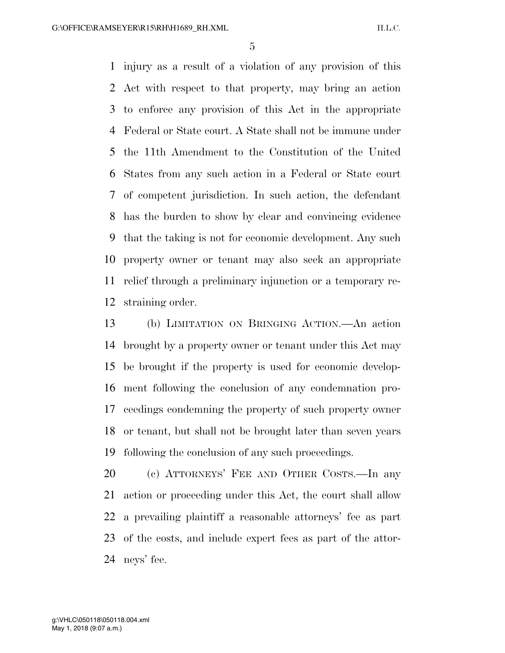injury as a result of a violation of any provision of this Act with respect to that property, may bring an action to enforce any provision of this Act in the appropriate Federal or State court. A State shall not be immune under the 11th Amendment to the Constitution of the United States from any such action in a Federal or State court of competent jurisdiction. In such action, the defendant has the burden to show by clear and convincing evidence that the taking is not for economic development. Any such property owner or tenant may also seek an appropriate relief through a preliminary injunction or a temporary re-straining order.

 (b) LIMITATION ON BRINGING ACTION.—An action brought by a property owner or tenant under this Act may be brought if the property is used for economic develop- ment following the conclusion of any condemnation pro- ceedings condemning the property of such property owner or tenant, but shall not be brought later than seven years following the conclusion of any such proceedings.

 (c) ATTORNEYS' FEE AND OTHER COSTS.—In any action or proceeding under this Act, the court shall allow a prevailing plaintiff a reasonable attorneys' fee as part of the costs, and include expert fees as part of the attor-neys' fee.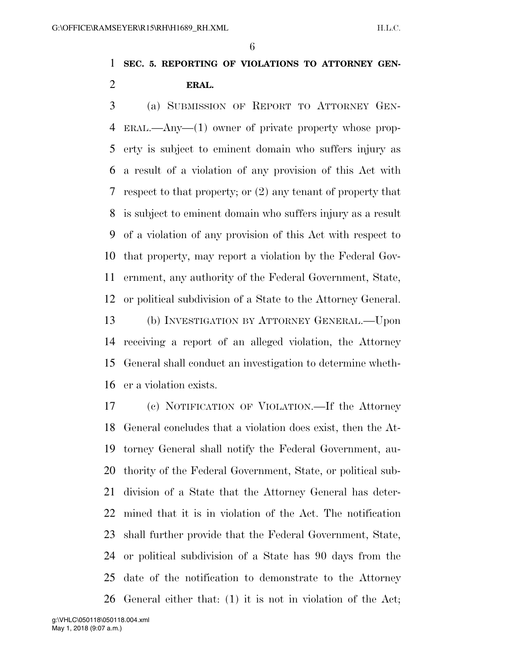### **SEC. 5. REPORTING OF VIOLATIONS TO ATTORNEY GEN-ERAL.**

 (a) SUBMISSION OF REPORT TO ATTORNEY GEN- ERAL.—Any—(1) owner of private property whose prop- erty is subject to eminent domain who suffers injury as a result of a violation of any provision of this Act with respect to that property; or (2) any tenant of property that is subject to eminent domain who suffers injury as a result of a violation of any provision of this Act with respect to that property, may report a violation by the Federal Gov- ernment, any authority of the Federal Government, State, or political subdivision of a State to the Attorney General. (b) INVESTIGATION BY ATTORNEY GENERAL.—Upon receiving a report of an alleged violation, the Attorney General shall conduct an investigation to determine wheth-er a violation exists.

 (c) NOTIFICATION OF VIOLATION.—If the Attorney General concludes that a violation does exist, then the At- torney General shall notify the Federal Government, au- thority of the Federal Government, State, or political sub- division of a State that the Attorney General has deter- mined that it is in violation of the Act. The notification shall further provide that the Federal Government, State, or political subdivision of a State has 90 days from the date of the notification to demonstrate to the Attorney General either that: (1) it is not in violation of the Act;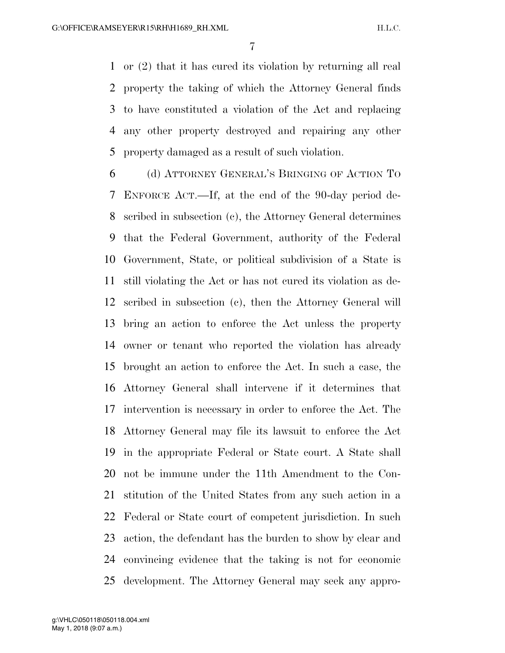or (2) that it has cured its violation by returning all real property the taking of which the Attorney General finds to have constituted a violation of the Act and replacing any other property destroyed and repairing any other property damaged as a result of such violation.

 (d) ATTORNEY GENERAL'S BRINGING OF ACTION TO ENFORCE ACT.—If, at the end of the 90-day period de- scribed in subsection (c), the Attorney General determines that the Federal Government, authority of the Federal Government, State, or political subdivision of a State is still violating the Act or has not cured its violation as de- scribed in subsection (c), then the Attorney General will bring an action to enforce the Act unless the property owner or tenant who reported the violation has already brought an action to enforce the Act. In such a case, the Attorney General shall intervene if it determines that intervention is necessary in order to enforce the Act. The Attorney General may file its lawsuit to enforce the Act in the appropriate Federal or State court. A State shall not be immune under the 11th Amendment to the Con- stitution of the United States from any such action in a Federal or State court of competent jurisdiction. In such action, the defendant has the burden to show by clear and convincing evidence that the taking is not for economic development. The Attorney General may seek any appro-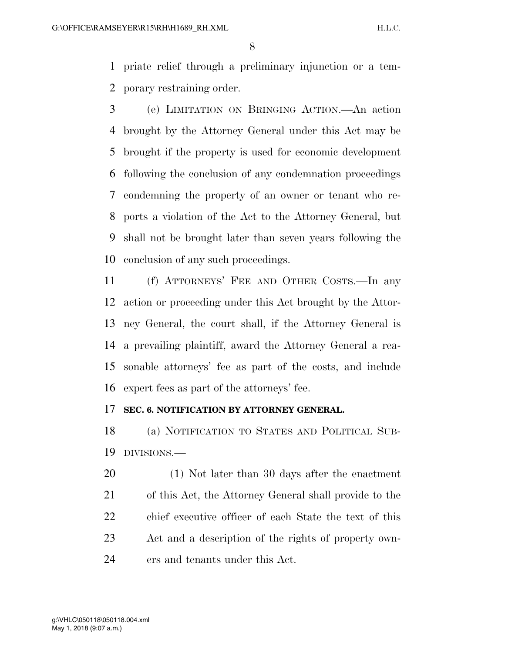priate relief through a preliminary injunction or a tem-porary restraining order.

 (e) LIMITATION ON BRINGING ACTION.—An action brought by the Attorney General under this Act may be brought if the property is used for economic development following the conclusion of any condemnation proceedings condemning the property of an owner or tenant who re- ports a violation of the Act to the Attorney General, but shall not be brought later than seven years following the conclusion of any such proceedings.

 (f) ATTORNEYS' FEE AND OTHER COSTS.—In any action or proceeding under this Act brought by the Attor- ney General, the court shall, if the Attorney General is a prevailing plaintiff, award the Attorney General a rea- sonable attorneys' fee as part of the costs, and include expert fees as part of the attorneys' fee.

#### **SEC. 6. NOTIFICATION BY ATTORNEY GENERAL.**

 (a) NOTIFICATION TO STATES AND POLITICAL SUB-DIVISIONS.—

 (1) Not later than 30 days after the enactment of this Act, the Attorney General shall provide to the chief executive officer of each State the text of this Act and a description of the rights of property own-ers and tenants under this Act.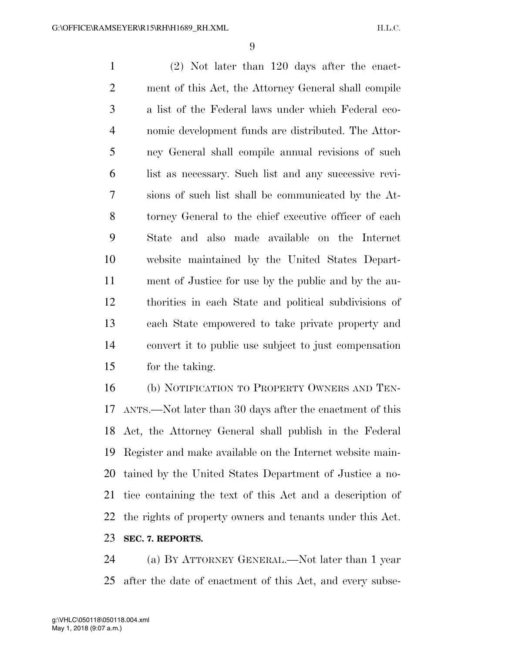(2) Not later than 120 days after the enact- ment of this Act, the Attorney General shall compile a list of the Federal laws under which Federal eco- nomic development funds are distributed. The Attor- ney General shall compile annual revisions of such list as necessary. Such list and any successive revi- sions of such list shall be communicated by the At- torney General to the chief executive officer of each State and also made available on the Internet website maintained by the United States Depart- ment of Justice for use by the public and by the au- thorities in each State and political subdivisions of each State empowered to take private property and convert it to public use subject to just compensation for the taking.

 (b) NOTIFICATION TO PROPERTY OWNERS AND TEN- ANTS.—Not later than 30 days after the enactment of this Act, the Attorney General shall publish in the Federal Register and make available on the Internet website main- tained by the United States Department of Justice a no- tice containing the text of this Act and a description of the rights of property owners and tenants under this Act. **SEC. 7. REPORTS.** 

 (a) BY ATTORNEY GENERAL.—Not later than 1 year after the date of enactment of this Act, and every subse-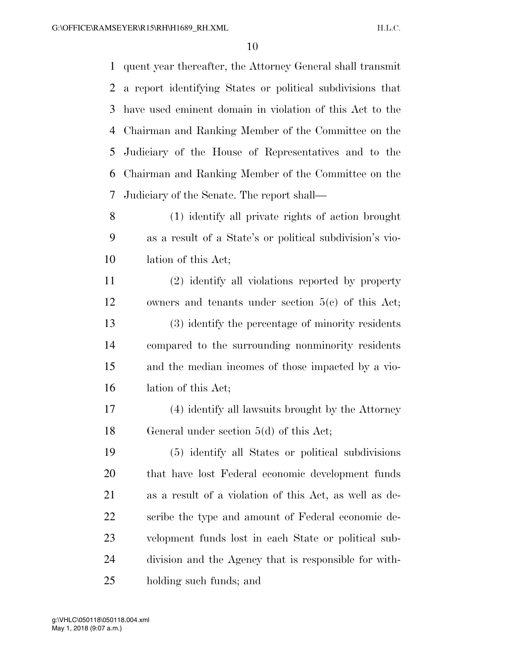quent year thereafter, the Attorney General shall transmit a report identifying States or political subdivisions that have used eminent domain in violation of this Act to the Chairman and Ranking Member of the Committee on the Judiciary of the House of Representatives and to the Chairman and Ranking Member of the Committee on the Judiciary of the Senate. The report shall—

 (1) identify all private rights of action brought as a result of a State's or political subdivision's vio-lation of this Act;

 (2) identify all violations reported by property owners and tenants under section 5(c) of this Act; (3) identify the percentage of minority residents compared to the surrounding nonminority residents and the median incomes of those impacted by a vio-lation of this Act;

 (4) identify all lawsuits brought by the Attorney General under section 5(d) of this Act;

 (5) identify all States or political subdivisions that have lost Federal economic development funds as a result of a violation of this Act, as well as de- scribe the type and amount of Federal economic de- velopment funds lost in each State or political sub- division and the Agency that is responsible for with-holding such funds; and

May 1, 2018 (9:07 a.m.) g:\VHLC\050118\050118.004.xml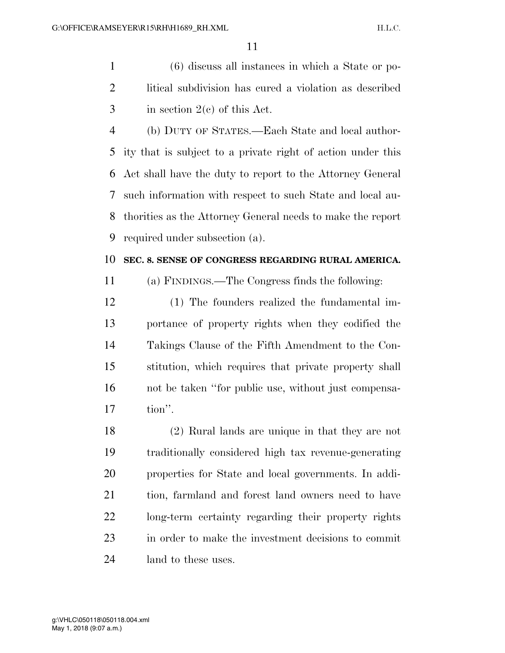(6) discuss all instances in which a State or po- litical subdivision has cured a violation as described in section  $2(e)$  of this Act.

 (b) DUTY OF STATES.—Each State and local author- ity that is subject to a private right of action under this Act shall have the duty to report to the Attorney General such information with respect to such State and local au- thorities as the Attorney General needs to make the report required under subsection (a).

#### **SEC. 8. SENSE OF CONGRESS REGARDING RURAL AMERICA.**

(a) FINDINGS.—The Congress finds the following:

 (1) The founders realized the fundamental im- portance of property rights when they codified the Takings Clause of the Fifth Amendment to the Con- stitution, which requires that private property shall not be taken ''for public use, without just compensa-tion''.

 (2) Rural lands are unique in that they are not traditionally considered high tax revenue-generating properties for State and local governments. In addi- tion, farmland and forest land owners need to have long-term certainty regarding their property rights in order to make the investment decisions to commit land to these uses.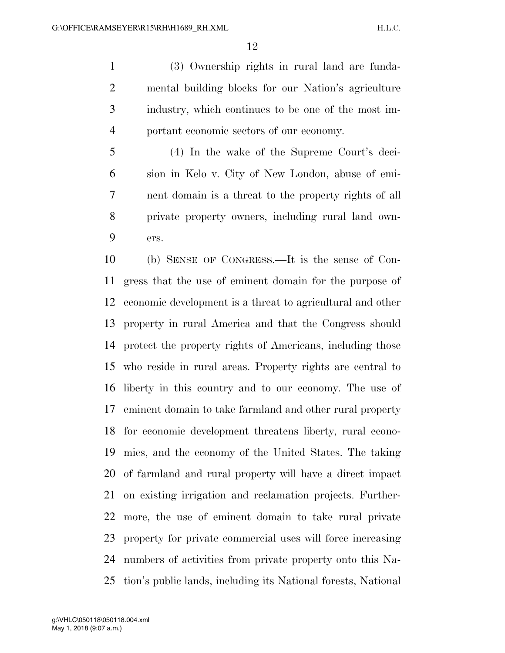(3) Ownership rights in rural land are funda- mental building blocks for our Nation's agriculture industry, which continues to be one of the most im-portant economic sectors of our economy.

 (4) In the wake of the Supreme Court's deci- sion in Kelo v. City of New London, abuse of emi- nent domain is a threat to the property rights of all private property owners, including rural land own-ers.

 (b) SENSE OF CONGRESS.—It is the sense of Con- gress that the use of eminent domain for the purpose of economic development is a threat to agricultural and other property in rural America and that the Congress should protect the property rights of Americans, including those who reside in rural areas. Property rights are central to liberty in this country and to our economy. The use of eminent domain to take farmland and other rural property for economic development threatens liberty, rural econo- mies, and the economy of the United States. The taking of farmland and rural property will have a direct impact on existing irrigation and reclamation projects. Further- more, the use of eminent domain to take rural private property for private commercial uses will force increasing numbers of activities from private property onto this Na-tion's public lands, including its National forests, National

May 1, 2018 (9:07 a.m.) g:\VHLC\050118\050118.004.xml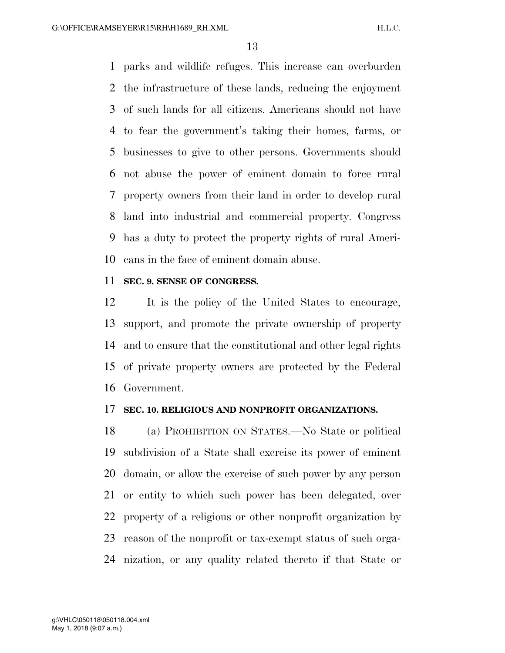parks and wildlife refuges. This increase can overburden the infrastructure of these lands, reducing the enjoyment of such lands for all citizens. Americans should not have to fear the government's taking their homes, farms, or businesses to give to other persons. Governments should not abuse the power of eminent domain to force rural property owners from their land in order to develop rural land into industrial and commercial property. Congress has a duty to protect the property rights of rural Ameri-cans in the face of eminent domain abuse.

#### **SEC. 9. SENSE OF CONGRESS.**

 It is the policy of the United States to encourage, support, and promote the private ownership of property and to ensure that the constitutional and other legal rights of private property owners are protected by the Federal Government.

#### **SEC. 10. RELIGIOUS AND NONPROFIT ORGANIZATIONS.**

 (a) PROHIBITION ON STATES.—No State or political subdivision of a State shall exercise its power of eminent domain, or allow the exercise of such power by any person or entity to which such power has been delegated, over property of a religious or other nonprofit organization by reason of the nonprofit or tax-exempt status of such orga-nization, or any quality related thereto if that State or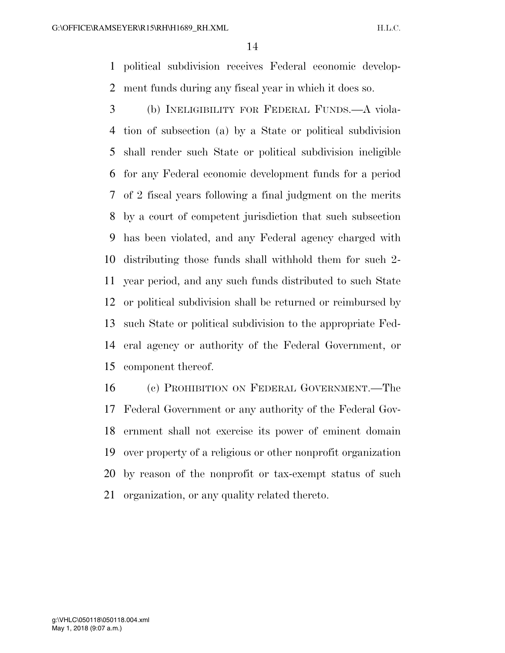political subdivision receives Federal economic develop-ment funds during any fiscal year in which it does so.

 (b) INELIGIBILITY FOR FEDERAL FUNDS.—A viola- tion of subsection (a) by a State or political subdivision shall render such State or political subdivision ineligible for any Federal economic development funds for a period of 2 fiscal years following a final judgment on the merits by a court of competent jurisdiction that such subsection has been violated, and any Federal agency charged with distributing those funds shall withhold them for such 2- year period, and any such funds distributed to such State or political subdivision shall be returned or reimbursed by such State or political subdivision to the appropriate Fed- eral agency or authority of the Federal Government, or component thereof.

 (c) PROHIBITION ON FEDERAL GOVERNMENT.—The Federal Government or any authority of the Federal Gov- ernment shall not exercise its power of eminent domain over property of a religious or other nonprofit organization by reason of the nonprofit or tax-exempt status of such organization, or any quality related thereto.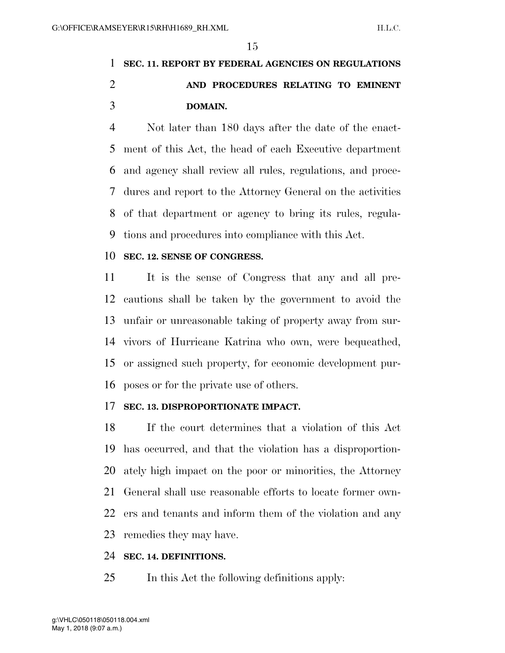## **SEC. 11. REPORT BY FEDERAL AGENCIES ON REGULATIONS AND PROCEDURES RELATING TO EMINENT DOMAIN.**

 Not later than 180 days after the date of the enact- ment of this Act, the head of each Executive department and agency shall review all rules, regulations, and proce- dures and report to the Attorney General on the activities of that department or agency to bring its rules, regula-tions and procedures into compliance with this Act.

#### **SEC. 12. SENSE OF CONGRESS.**

 It is the sense of Congress that any and all pre- cautions shall be taken by the government to avoid the unfair or unreasonable taking of property away from sur- vivors of Hurricane Katrina who own, were bequeathed, or assigned such property, for economic development pur-poses or for the private use of others.

#### **SEC. 13. DISPROPORTIONATE IMPACT.**

 If the court determines that a violation of this Act has occurred, and that the violation has a disproportion- ately high impact on the poor or minorities, the Attorney General shall use reasonable efforts to locate former own- ers and tenants and inform them of the violation and any remedies they may have.

#### **SEC. 14. DEFINITIONS.**

In this Act the following definitions apply: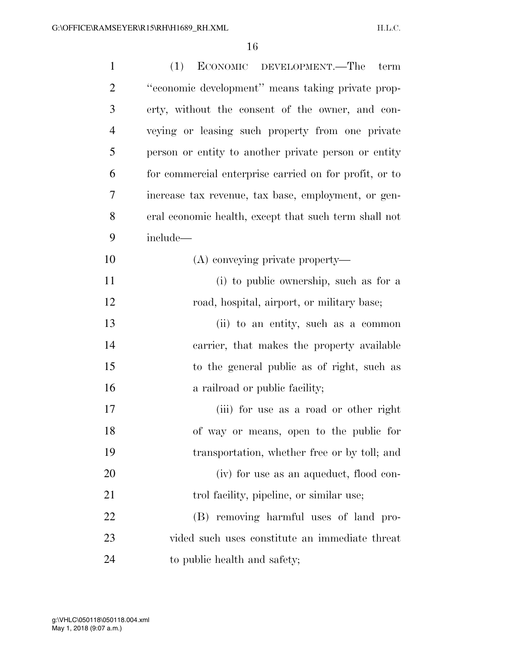| $\mathbf{1}$   | (1)<br>ECONOMIC DEVELOPMENT.—The term                  |
|----------------|--------------------------------------------------------|
| $\overline{2}$ | "economic development" means taking private prop-      |
| 3              | erty, without the consent of the owner, and con-       |
| $\overline{4}$ | veying or leasing such property from one private       |
| 5              | person or entity to another private person or entity   |
| 6              | for commercial enterprise carried on for profit, or to |
| 7              | increase tax revenue, tax base, employment, or gen-    |
| 8              | eral economic health, except that such term shall not  |
| 9              | include—                                               |
| 10             | (A) conveying private property—                        |
| 11             | (i) to public ownership, such as for a                 |
| 12             | road, hospital, airport, or military base;             |
| 13             | (ii) to an entity, such as a common                    |
| 14             | carrier, that makes the property available             |
| 15             | to the general public as of right, such as             |
| 16             | a railroad or public facility;                         |
| 17             | (iii) for use as a road or other right                 |
| 18             | of way or means, open to the public for                |
| 19             | transportation, whether free or by toll; and           |
| 20             | (iv) for use as an aqueduct, flood con-                |
| 21             | trol facility, pipeline, or similar use;               |
| 22             | (B) removing harmful uses of land pro-                 |
| 23             | vided such uses constitute an immediate threat         |
| 24             | to public health and safety;                           |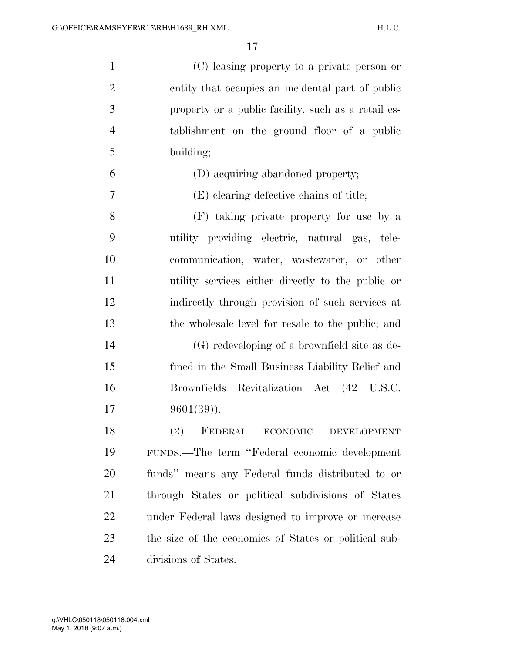(C) leasing property to a private person or entity that occupies an incidental part of public property or a public facility, such as a retail es- tablishment on the ground floor of a public building; (D) acquiring abandoned property; (E) clearing defective chains of title; (F) taking private property for use by a utility providing electric, natural gas, tele- communication, water, wastewater, or other utility services either directly to the public or indirectly through provision of such services at the wholesale level for resale to the public; and (G) redeveloping of a brownfield site as de- fined in the Small Business Liability Relief and Brownfields Revitalization Act (42 U.S.C. 9601(39)). (2) FEDERAL ECONOMIC DEVELOPMENT FUNDS.—The term ''Federal economic development funds'' means any Federal funds distributed to or through States or political subdivisions of States under Federal laws designed to improve or increase the size of the economies of States or political sub-divisions of States.